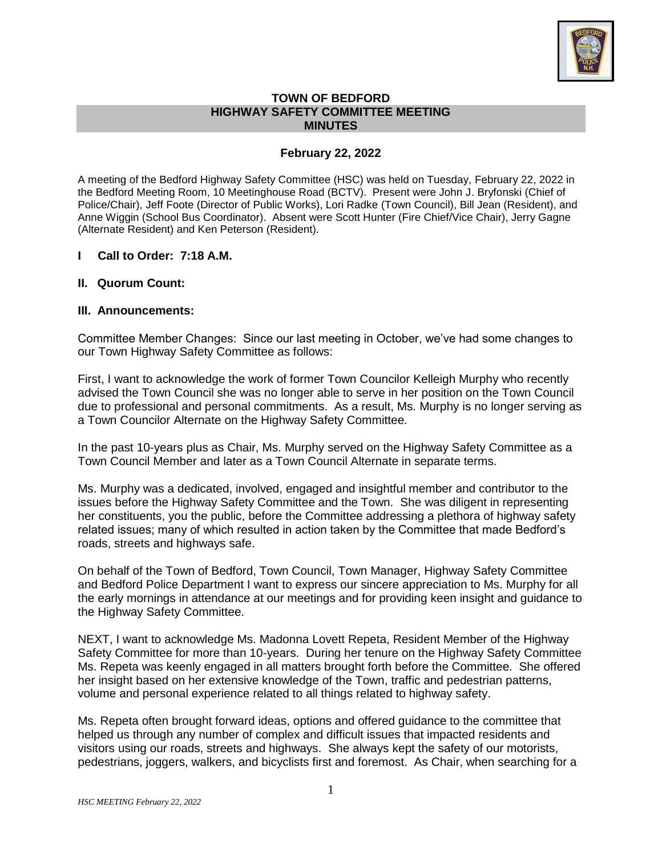

### **TOWN OF BEDFORD HIGHWAY SAFETY COMMITTEE MEETING MINUTES**

# **February 22, 2022**

A meeting of the Bedford Highway Safety Committee (HSC) was held on Tuesday, February 22, 2022 in the Bedford Meeting Room, 10 Meetinghouse Road (BCTV). Present were John J. Bryfonski (Chief of Police/Chair), Jeff Foote (Director of Public Works), Lori Radke (Town Council), Bill Jean (Resident), and Anne Wiggin (School Bus Coordinator). Absent were Scott Hunter (Fire Chief/Vice Chair), Jerry Gagne (Alternate Resident) and Ken Peterson (Resident).

## **I Call to Order: 7:18 A.M.**

**II. Quorum Count:** 

## **III. Announcements:**

Committee Member Changes: Since our last meeting in October, we've had some changes to our Town Highway Safety Committee as follows:

First, I want to acknowledge the work of former Town Councilor Kelleigh Murphy who recently advised the Town Council she was no longer able to serve in her position on the Town Council due to professional and personal commitments. As a result, Ms. Murphy is no longer serving as a Town Councilor Alternate on the Highway Safety Committee.

In the past 10-years plus as Chair, Ms. Murphy served on the Highway Safety Committee as a Town Council Member and later as a Town Council Alternate in separate terms.

Ms. Murphy was a dedicated, involved, engaged and insightful member and contributor to the issues before the Highway Safety Committee and the Town. She was diligent in representing her constituents, you the public, before the Committee addressing a plethora of highway safety related issues; many of which resulted in action taken by the Committee that made Bedford's roads, streets and highways safe.

On behalf of the Town of Bedford, Town Council, Town Manager, Highway Safety Committee and Bedford Police Department I want to express our sincere appreciation to Ms. Murphy for all the early mornings in attendance at our meetings and for providing keen insight and guidance to the Highway Safety Committee.

NEXT, I want to acknowledge Ms. Madonna Lovett Repeta, Resident Member of the Highway Safety Committee for more than 10-years. During her tenure on the Highway Safety Committee Ms. Repeta was keenly engaged in all matters brought forth before the Committee. She offered her insight based on her extensive knowledge of the Town, traffic and pedestrian patterns, volume and personal experience related to all things related to highway safety.

Ms. Repeta often brought forward ideas, options and offered guidance to the committee that helped us through any number of complex and difficult issues that impacted residents and visitors using our roads, streets and highways. She always kept the safety of our motorists, pedestrians, joggers, walkers, and bicyclists first and foremost. As Chair, when searching for a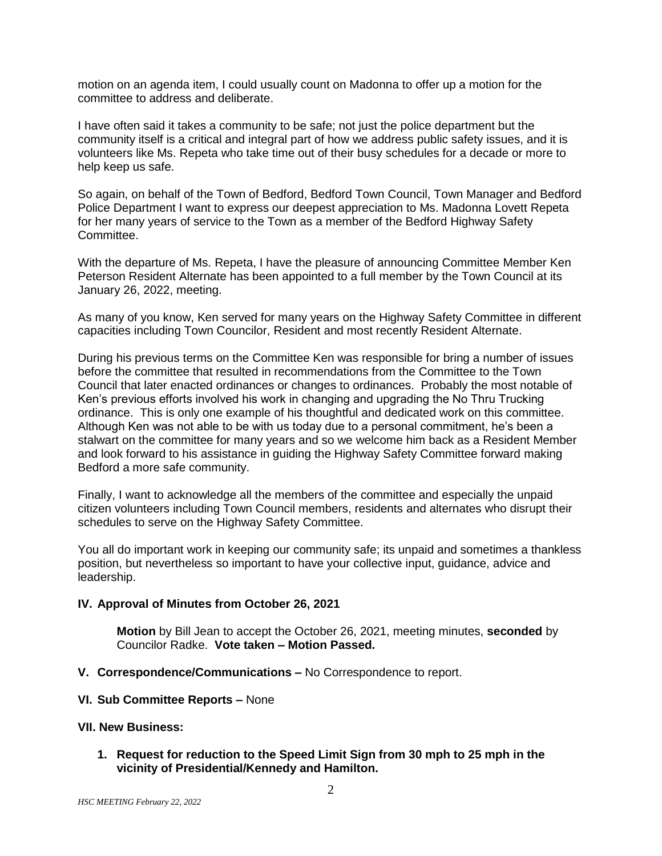motion on an agenda item, I could usually count on Madonna to offer up a motion for the committee to address and deliberate.

I have often said it takes a community to be safe; not just the police department but the community itself is a critical and integral part of how we address public safety issues, and it is volunteers like Ms. Repeta who take time out of their busy schedules for a decade or more to help keep us safe.

So again, on behalf of the Town of Bedford, Bedford Town Council, Town Manager and Bedford Police Department I want to express our deepest appreciation to Ms. Madonna Lovett Repeta for her many years of service to the Town as a member of the Bedford Highway Safety Committee.

With the departure of Ms. Repeta, I have the pleasure of announcing Committee Member Ken Peterson Resident Alternate has been appointed to a full member by the Town Council at its January 26, 2022, meeting.

As many of you know, Ken served for many years on the Highway Safety Committee in different capacities including Town Councilor, Resident and most recently Resident Alternate.

During his previous terms on the Committee Ken was responsible for bring a number of issues before the committee that resulted in recommendations from the Committee to the Town Council that later enacted ordinances or changes to ordinances. Probably the most notable of Ken's previous efforts involved his work in changing and upgrading the No Thru Trucking ordinance. This is only one example of his thoughtful and dedicated work on this committee. Although Ken was not able to be with us today due to a personal commitment, he's been a stalwart on the committee for many years and so we welcome him back as a Resident Member and look forward to his assistance in guiding the Highway Safety Committee forward making Bedford a more safe community.

Finally, I want to acknowledge all the members of the committee and especially the unpaid citizen volunteers including Town Council members, residents and alternates who disrupt their schedules to serve on the Highway Safety Committee.

You all do important work in keeping our community safe; its unpaid and sometimes a thankless position, but nevertheless so important to have your collective input, guidance, advice and leadership.

#### **IV. Approval of Minutes from October 26, 2021**

**Motion** by Bill Jean to accept the October 26, 2021, meeting minutes, **seconded** by Councilor Radke. **Vote taken – Motion Passed.** 

- **V. Correspondence/Communications –** No Correspondence to report.
- **VI. Sub Committee Reports –** None

#### **VII. New Business:**

**1. Request for reduction to the Speed Limit Sign from 30 mph to 25 mph in the vicinity of Presidential/Kennedy and Hamilton.**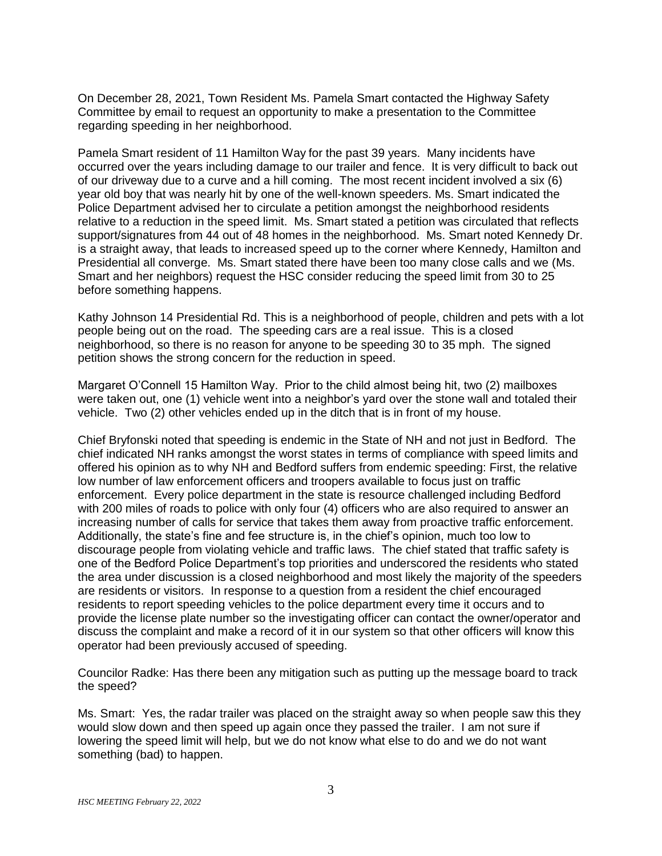On December 28, 2021, Town Resident Ms. Pamela Smart contacted the Highway Safety Committee by email to request an opportunity to make a presentation to the Committee regarding speeding in her neighborhood.

Pamela Smart resident of 11 Hamilton Way for the past 39 years. Many incidents have occurred over the years including damage to our trailer and fence. It is very difficult to back out of our driveway due to a curve and a hill coming. The most recent incident involved a six (6) year old boy that was nearly hit by one of the well-known speeders. Ms. Smart indicated the Police Department advised her to circulate a petition amongst the neighborhood residents relative to a reduction in the speed limit. Ms. Smart stated a petition was circulated that reflects support/signatures from 44 out of 48 homes in the neighborhood. Ms. Smart noted Kennedy Dr. is a straight away, that leads to increased speed up to the corner where Kennedy, Hamilton and Presidential all converge. Ms. Smart stated there have been too many close calls and we (Ms. Smart and her neighbors) request the HSC consider reducing the speed limit from 30 to 25 before something happens.

Kathy Johnson 14 Presidential Rd. This is a neighborhood of people, children and pets with a lot people being out on the road. The speeding cars are a real issue. This is a closed neighborhood, so there is no reason for anyone to be speeding 30 to 35 mph. The signed petition shows the strong concern for the reduction in speed.

Margaret O'Connell 15 Hamilton Way. Prior to the child almost being hit, two (2) mailboxes were taken out, one (1) vehicle went into a neighbor's yard over the stone wall and totaled their vehicle. Two (2) other vehicles ended up in the ditch that is in front of my house.

Chief Bryfonski noted that speeding is endemic in the State of NH and not just in Bedford. The chief indicated NH ranks amongst the worst states in terms of compliance with speed limits and offered his opinion as to why NH and Bedford suffers from endemic speeding: First, the relative low number of law enforcement officers and troopers available to focus just on traffic enforcement. Every police department in the state is resource challenged including Bedford with 200 miles of roads to police with only four (4) officers who are also required to answer an increasing number of calls for service that takes them away from proactive traffic enforcement. Additionally, the state's fine and fee structure is, in the chief's opinion, much too low to discourage people from violating vehicle and traffic laws. The chief stated that traffic safety is one of the Bedford Police Department's top priorities and underscored the residents who stated the area under discussion is a closed neighborhood and most likely the majority of the speeders are residents or visitors. In response to a question from a resident the chief encouraged residents to report speeding vehicles to the police department every time it occurs and to provide the license plate number so the investigating officer can contact the owner/operator and discuss the complaint and make a record of it in our system so that other officers will know this operator had been previously accused of speeding.

Councilor Radke: Has there been any mitigation such as putting up the message board to track the speed?

Ms. Smart: Yes, the radar trailer was placed on the straight away so when people saw this they would slow down and then speed up again once they passed the trailer. I am not sure if lowering the speed limit will help, but we do not know what else to do and we do not want something (bad) to happen.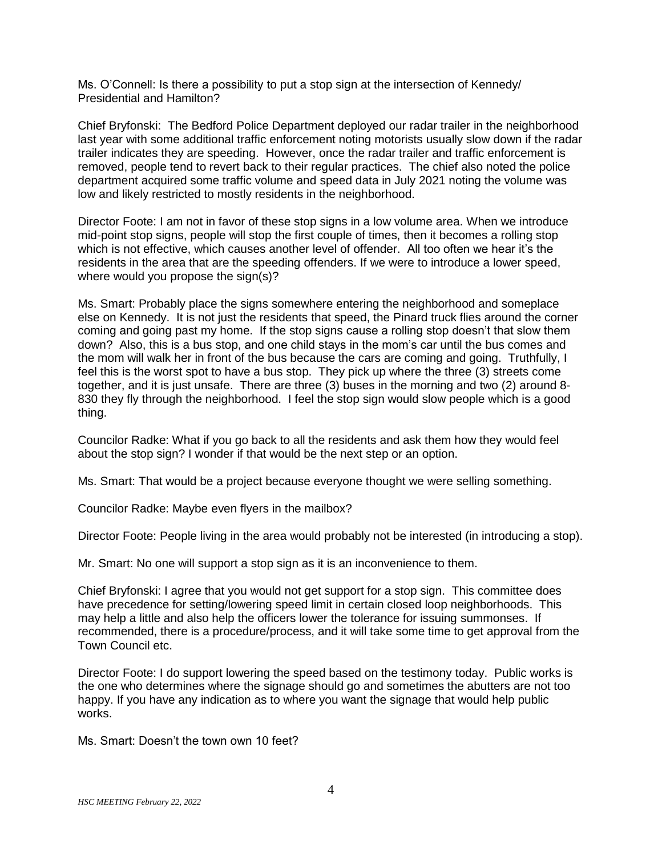Ms. O'Connell: Is there a possibility to put a stop sign at the intersection of Kennedy/ Presidential and Hamilton?

Chief Bryfonski: The Bedford Police Department deployed our radar trailer in the neighborhood last year with some additional traffic enforcement noting motorists usually slow down if the radar trailer indicates they are speeding. However, once the radar trailer and traffic enforcement is removed, people tend to revert back to their regular practices. The chief also noted the police department acquired some traffic volume and speed data in July 2021 noting the volume was low and likely restricted to mostly residents in the neighborhood.

Director Foote: I am not in favor of these stop signs in a low volume area. When we introduce mid-point stop signs, people will stop the first couple of times, then it becomes a rolling stop which is not effective, which causes another level of offender. All too often we hear it's the residents in the area that are the speeding offenders. If we were to introduce a lower speed, where would you propose the sign(s)?

Ms. Smart: Probably place the signs somewhere entering the neighborhood and someplace else on Kennedy. It is not just the residents that speed, the Pinard truck flies around the corner coming and going past my home. If the stop signs cause a rolling stop doesn't that slow them down? Also, this is a bus stop, and one child stays in the mom's car until the bus comes and the mom will walk her in front of the bus because the cars are coming and going. Truthfully, I feel this is the worst spot to have a bus stop. They pick up where the three (3) streets come together, and it is just unsafe. There are three (3) buses in the morning and two (2) around 8- 830 they fly through the neighborhood. I feel the stop sign would slow people which is a good thing.

Councilor Radke: What if you go back to all the residents and ask them how they would feel about the stop sign? I wonder if that would be the next step or an option.

Ms. Smart: That would be a project because everyone thought we were selling something.

Councilor Radke: Maybe even flyers in the mailbox?

Director Foote: People living in the area would probably not be interested (in introducing a stop).

Mr. Smart: No one will support a stop sign as it is an inconvenience to them.

Chief Bryfonski: I agree that you would not get support for a stop sign. This committee does have precedence for setting/lowering speed limit in certain closed loop neighborhoods. This may help a little and also help the officers lower the tolerance for issuing summonses. If recommended, there is a procedure/process, and it will take some time to get approval from the Town Council etc.

Director Foote: I do support lowering the speed based on the testimony today. Public works is the one who determines where the signage should go and sometimes the abutters are not too happy. If you have any indication as to where you want the signage that would help public works.

Ms. Smart: Doesn't the town own 10 feet?